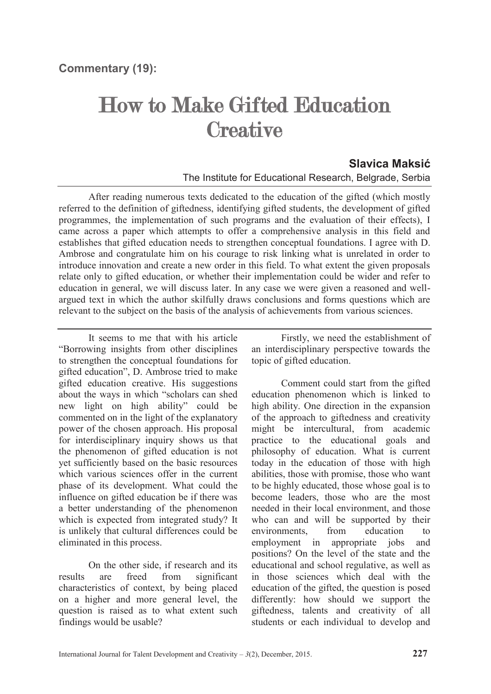## How to Make Gifted Education **Creative**

## **Slavica Maksić** The Institute for Educational Research, Belgrade, Serbia

After reading numerous texts dedicated to the education of the gifted (which mostly referred to the definition of giftedness, identifying gifted students, the development of gifted programmes, the implementation of such programs and the evaluation of their effects), I came across a paper which attempts to offer a comprehensive analysis in this field and establishes that gifted education needs to strengthen conceptual foundations. I agree with D. Ambrose and congratulate him on his courage to risk linking what is unrelated in order to introduce innovation and create a new order in this field. To what extent the given proposals relate only to gifted education, or whether their implementation could be wider and refer to education in general, we will discuss later. In any case we were given a reasoned and wellargued text in which the author skilfully draws conclusions and forms questions which are relevant to the subject on the basis of the analysis of achievements from various sciences.

It seems to me that with his article "Borrowing insights from other disciplines to strengthen the conceptual foundations for gifted education", D. Ambrose tried to make gifted education creative. His suggestions about the ways in which "scholars can shed new light on high ability" could be commented on in the light of the explanatory power of the chosen approach. His proposal for interdisciplinary inquiry shows us that the phenomenon of gifted education is not yet sufficiently based on the basic resources which various sciences offer in the current phase of its development. What could the influence on gifted education be if there was a better understanding of the phenomenon which is expected from integrated study? It is unlikely that cultural differences could be eliminated in this process.

On the other side, if research and its results are freed from significant characteristics of context, by being placed on a higher and more general level, the question is raised as to what extent such findings would be usable?

Firstly, we need the establishment of an interdisciplinary perspective towards the topic of gifted education.

Comment could start from the gifted education phenomenon which is linked to high ability. One direction in the expansion of the approach to giftedness and creativity might be intercultural, from academic practice to the educational goals and philosophy of education. What is current today in the education of those with high abilities, those with promise, those who want to be highly educated, those whose goal is to become leaders, those who are the most needed in their local environment, and those who can and will be supported by their environments, from education to employment in appropriate jobs and positions? On the level of the state and the educational and school regulative, as well as in those sciences which deal with the education of the gifted, the question is posed differently: how should we support the giftedness, talents and creativity of all students or each individual to develop and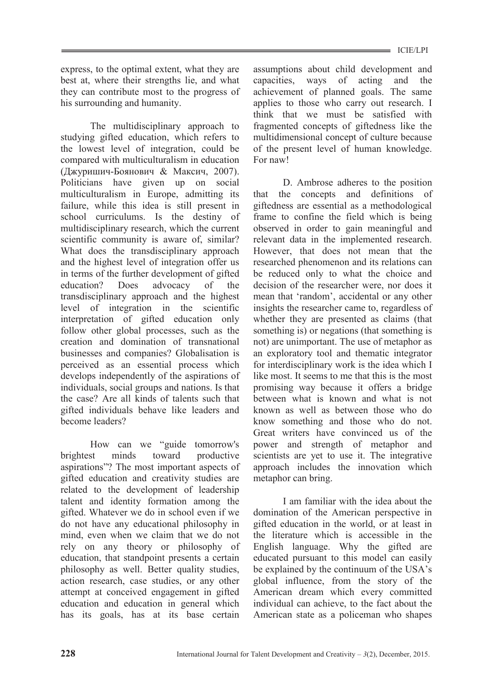express, to the optimal extent, what they are best at, where their strengths lie, and what they can contribute most to the progress of his surrounding and humanity.

The multidisciplinary approach to studying gifted education, which refers to the lowest level of integration, could be compared with multiculturalism in education (Джуришич-Боянович & Максич, 2007). Politicians have given up on social multiculturalism in Europe, admitting its failure, while this idea is still present in school curriculums. Is the destiny of multidisciplinary research, which the current scientific community is aware of, similar? What does the transdisciplinary approach and the highest level of integration offer us in terms of the further development of gifted education? Does advocacy of the transdisciplinary approach and the highest level of integration in the scientific interpretation of gifted education only follow other global processes, such as the creation and domination of transnational businesses and companies? Globalisation is perceived as an essential process which develops independently of the aspirations of individuals, social groups and nations. Is that the case? Are all kinds of talents such that gifted individuals behave like leaders and become leaders?

How can we "guide tomorrow's brightest minds toward productive aspirations"? The most important aspects of gifted education and creativity studies are related to the development of leadership talent and identity formation among the gifted. Whatever we do in school even if we do not have any educational philosophy in mind, even when we claim that we do not rely on any theory or philosophy of education, that standpoint presents a certain philosophy as well. Better quality studies, action research, case studies, or any other attempt at conceived engagement in gifted education and education in general which has its goals, has at its base certain

assumptions about child development and capacities, ways of acting and the achievement of planned goals. The same applies to those who carry out research. I think that we must be satisfied with fragmented concepts of giftedness like the multidimensional concept of culture because of the present level of human knowledge. For naw!

D. Ambrose adheres to the position that the concepts and definitions of giftedness are essential as a methodological frame to confine the field which is being observed in order to gain meaningful and relevant data in the implemented research. However, that does not mean that the researched phenomenon and its relations can be reduced only to what the choice and decision of the researcher were, nor does it mean that 'random', accidental or any other insights the researcher came to, regardless of whether they are presented as claims (that something is) or negations (that something is not) are unimportant. The use of metaphor as an exploratory tool and thematic integrator for interdisciplinary work is the idea which I like most. It seems to me that this is the most promising way because it offers a bridge between what is known and what is not known as well as between those who do know something and those who do not. Great writers have convinced us of the power and strength of metaphor and scientists are yet to use it. The integrative approach includes the innovation which metaphor can bring.

I am familiar with the idea about the domination of the American perspective in gifted education in the world, or at least in the literature which is accessible in the English language. Why the gifted are educated pursuant to this model can easily be explained by the continuum of the USA's global influence, from the story of the American dream which every committed individual can achieve, to the fact about the American state as a policeman who shapes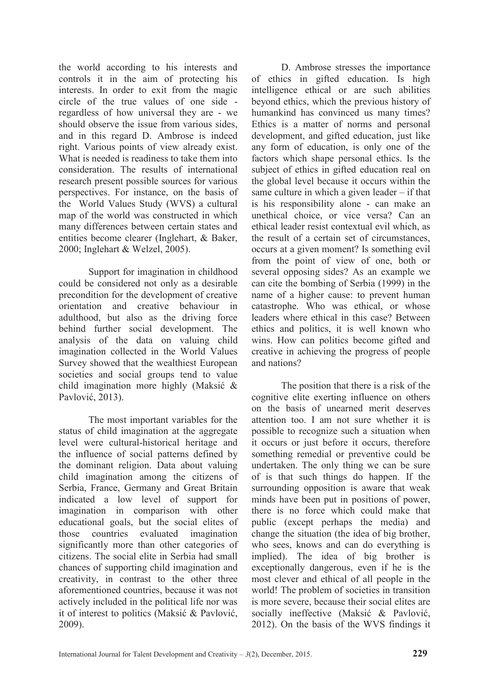the world according to his interests and controls it in the aim of protecting his interests. In order to exit from the magic circle of the true values of one side regardless of how universal they are - we should observe the issue from various sides, and in this regard D. Ambrose is indeed right. Various points of view already exist. What is needed is readiness to take them into consideration. The results of international research present possible sources for various perspectives. For instance, on the basis of the World Values Study (WVS) a cultural map of the world was constructed in which many differences between certain states and entities become clearer (Inglehart, & Baker, 2000; Inglehart & Welzel, 2005).

Support for imagination in childhood could be considered not only as a desirable precondition for the development of creative orientation and creative behaviour in adulthood, but also as the driving force behind further social development. The analysis of the data on valuing child imagination collected in the World Values Survey showed that the wealthiest European societies and social groups tend to value child imagination more highly (Maksić & Pavlović, 2013).

The most important variables for the status of child imagination at the aggregate level were cultural-historical heritage and the influence of social patterns defined by the dominant religion. Data about valuing child imagination among the citizens of Serbia, France, Germany and Great Britain indicated a low level of support for imagination in comparison with other educational goals, but the social elites of those countries evaluated imagination significantly more than other categories of citizens. The social elite in Serbia had small chances of supporting child imagination and creativity, in contrast to the other three aforementioned countries, because it was not actively included in the political life nor was it of interest to politics (Maksić & Pavlović, 2009).

D. Ambrose stresses the importance of ethics in gifted education. Is high intelligence ethical or are such abilities beyond ethics, which the previous history of humankind has convinced us many times? Ethics is a matter of norms and personal development, and gifted education, just like any form of education, is only one of the factors which shape personal ethics. Is the subject of ethics in gifted education real on the global level because it occurs within the same culture in which a given leader – if that is his responsibility alone - can make an unethical choice, or vice versa? Can an ethical leader resist contextual evil which, as the result of a certain set of circumstances, occurs at a given moment? Is something evil from the point of view of one, both or several opposing sides? As an example we can cite the bombing of Serbia (1999) in the name of a higher cause: to prevent human catastrophe. Who was ethical, or whose leaders where ethical in this case? Between ethics and politics, it is well known who wins. How can politics become gifted and creative in achieving the progress of people and nations?

The position that there is a risk of the cognitive elite exerting influence on others on the basis of unearned merit deserves attention too. I am not sure whether it is possible to recognize such a situation when it occurs or just before it occurs, therefore something remedial or preventive could be undertaken. The only thing we can be sure of is that such things do happen. If the surrounding opposition is aware that weak minds have been put in positions of power, there is no force which could make that public (except perhaps the media) and change the situation (the idea of big brother, who sees, knows and can do everything is implied). The idea of big brother is exceptionally dangerous, even if he is the most clever and ethical of all people in the world! The problem of societies in transition is more severe, because their social elites are socially ineffective (Maksić & Pavlović, 2012). On the basis of the WVS findings it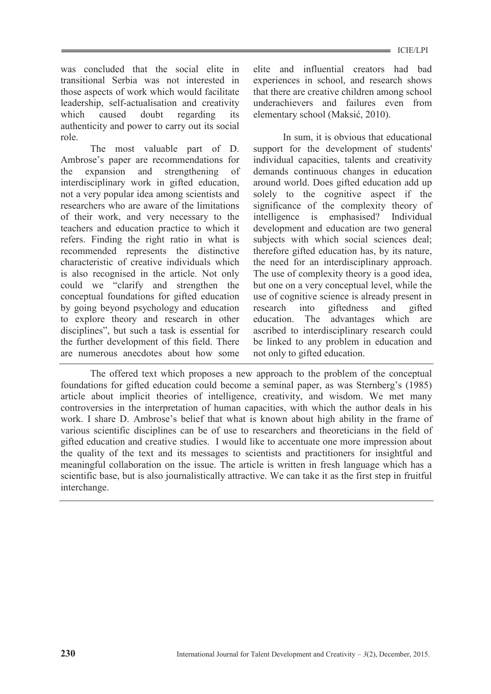was concluded that the social elite in transitional Serbia was not interested in those aspects of work which would facilitate leadership, self-actualisation and creativity which caused doubt regarding its authenticity and power to carry out its social role.

The most valuable part of D. Ambrose's paper are recommendations for the expansion and strengthening of interdisciplinary work in gifted education, not a very popular idea among scientists and researchers who are aware of the limitations of their work, and very necessary to the teachers and education practice to which it refers. Finding the right ratio in what is recommended represents the distinctive characteristic of creative individuals which is also recognised in the article. Not only could we "clarify and strengthen the conceptual foundations for gifted education by going beyond psychology and education to explore theory and research in other disciplines", but such a task is essential for the further development of this field. There are numerous anecdotes about how some

elite and influential creators had bad experiences in school, and research shows that there are creative children among school underachievers and failures even from elementary school (Maksić, 2010).

In sum, it is obvious that educational support for the development of students' individual capacities, talents and creativity demands continuous changes in education around world. Does gifted education add up solely to the cognitive aspect if the significance of the complexity theory of intelligence is emphasised? Individual development and education are two general subjects with which social sciences deal; therefore gifted education has, by its nature, the need for an interdisciplinary approach. The use of complexity theory is a good idea, but one on a very conceptual level, while the use of cognitive science is already present in research into giftedness and gifted education. The advantages which are ascribed to interdisciplinary research could be linked to any problem in education and not only to gifted education.

The offered text which proposes a new approach to the problem of the conceptual foundations for gifted education could become a seminal paper, as was Sternberg's (1985) article about implicit theories of intelligence, creativity, and wisdom. We met many controversies in the interpretation of human capacities, with which the author deals in his work. I share D. Ambrose's belief that what is known about high ability in the frame of various scientific disciplines can be of use to researchers and theoreticians in the field of gifted education and creative studies. I would like to accentuate one more impression about the quality of the text and its messages to scientists and practitioners for insightful and meaningful collaboration on the issue. The article is written in fresh language which has a scientific base, but is also journalistically attractive. We can take it as the first step in fruitful interchange.